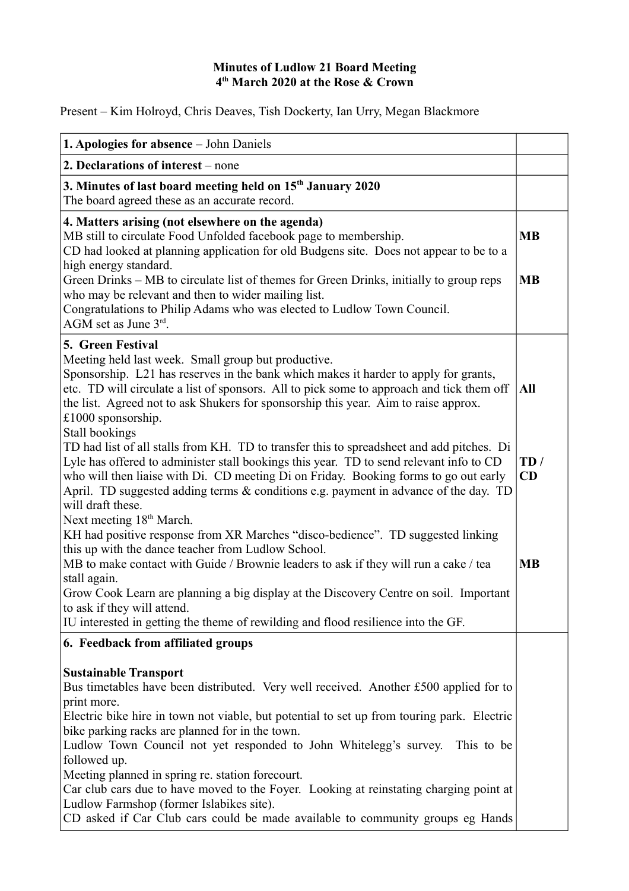#### **Minutes of Ludlow 21 Board Meeting 4 th March 2020 at the Rose & Crown**

Present – Kim Holroyd, Chris Deaves, Tish Dockerty, Ian Urry, Megan Blackmore

| 1. Apologies for absence - John Daniels                                                                                                                                                                                                                                                                                                                                                                                                                                                                                                                                                                                                                                                                    |                        |
|------------------------------------------------------------------------------------------------------------------------------------------------------------------------------------------------------------------------------------------------------------------------------------------------------------------------------------------------------------------------------------------------------------------------------------------------------------------------------------------------------------------------------------------------------------------------------------------------------------------------------------------------------------------------------------------------------------|------------------------|
| 2. Declarations of interest – none                                                                                                                                                                                                                                                                                                                                                                                                                                                                                                                                                                                                                                                                         |                        |
| 3. Minutes of last board meeting held on 15 <sup>th</sup> January 2020<br>The board agreed these as an accurate record.                                                                                                                                                                                                                                                                                                                                                                                                                                                                                                                                                                                    |                        |
| 4. Matters arising (not elsewhere on the agenda)<br>MB still to circulate Food Unfolded facebook page to membership.<br>CD had looked at planning application for old Budgens site. Does not appear to be to a<br>high energy standard.<br>Green Drinks – MB to circulate list of themes for Green Drinks, initially to group reps<br>who may be relevant and then to wider mailing list.<br>Congratulations to Philip Adams who was elected to Ludlow Town Council.<br>AGM set as June $3^{rd}$ .                                                                                                                                                                                                         | <b>MB</b><br><b>MB</b> |
| 5. Green Festival<br>Meeting held last week. Small group but productive.<br>Sponsorship. L21 has reserves in the bank which makes it harder to apply for grants,<br>etc. TD will circulate a list of sponsors. All to pick some to approach and tick them off<br>the list. Agreed not to ask Shukers for sponsorship this year. Aim to raise approx.<br>$£1000$ sponsorship.<br>Stall bookings                                                                                                                                                                                                                                                                                                             | All                    |
| TD had list of all stalls from KH. TD to transfer this to spreadsheet and add pitches. Di<br>Lyle has offered to administer stall bookings this year. TD to send relevant info to CD<br>who will then liaise with Di. CD meeting Di on Friday. Booking forms to go out early<br>April. TD suggested adding terms $\&$ conditions e.g. payment in advance of the day. TD<br>will draft these.                                                                                                                                                                                                                                                                                                               | TD/<br>CD              |
| Next meeting 18 <sup>th</sup> March.<br>KH had positive response from XR Marches "disco-bedience". TD suggested linking<br>this up with the dance teacher from Ludlow School.<br>MB to make contact with Guide / Brownie leaders to ask if they will run a cake / tea<br>stall again.<br>Grow Cook Learn are planning a big display at the Discovery Centre on soil. Important<br>to ask if they will attend.<br>IU interested in getting the theme of rewilding and flood resilience into the GF.                                                                                                                                                                                                         | <b>MB</b>              |
| 6. Feedback from affiliated groups<br><b>Sustainable Transport</b><br>Bus timetables have been distributed. Very well received. Another £500 applied for to<br>print more.<br>Electric bike hire in town not viable, but potential to set up from touring park. Electric<br>bike parking racks are planned for in the town.<br>Ludlow Town Council not yet responded to John Whitelegg's survey.<br>This to be<br>followed up.<br>Meeting planned in spring re. station forecourt.<br>Car club cars due to have moved to the Foyer. Looking at reinstating charging point at<br>Ludlow Farmshop (former Islabikes site).<br>CD asked if Car Club cars could be made available to community groups eg Hands |                        |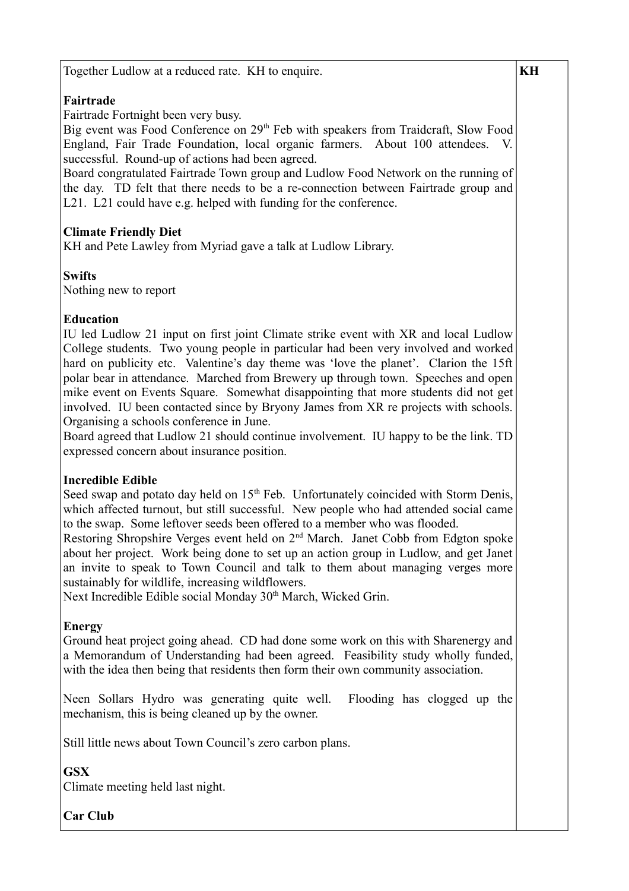Together Ludlow at a reduced rate. KH to enquire.

## **Fairtrade**

Fairtrade Fortnight been very busy.

Big event was Food Conference on 29<sup>th</sup> Feb with speakers from Traidcraft, Slow Food England, Fair Trade Foundation, local organic farmers. About 100 attendees. successful. Round-up of actions had been agreed.

Board congratulated Fairtrade Town group and Ludlow Food Network on the running of the day. TD felt that there needs to be a re-connection between Fairtrade group and L21. L21 could have e.g. helped with funding for the conference.

## **Climate Friendly Diet**

KH and Pete Lawley from Myriad gave a talk at Ludlow Library.

## **Swifts**

Nothing new to report

#### **Education**

IU led Ludlow 21 input on first joint Climate strike event with XR and local Ludlow College students. Two young people in particular had been very involved and worked hard on publicity etc. Valentine's day theme was 'love the planet'. Clarion the 15ft polar bear in attendance. Marched from Brewery up through town. Speeches and open mike event on Events Square. Somewhat disappointing that more students did not get involved. IU been contacted since by Bryony James from XR re projects with schools. Organising a schools conference in June.

Board agreed that Ludlow 21 should continue involvement. IU happy to be the link. TD expressed concern about insurance position.

## **Incredible Edible**

Seed swap and potato day held on  $15<sup>th</sup>$  Feb. Unfortunately coincided with Storm Denis, which affected turnout, but still successful. New people who had attended social came to the swap. Some leftover seeds been offered to a member who was flooded.

Restoring Shropshire Verges event held on 2<sup>nd</sup> March. Janet Cobb from Edgton spoke about her project. Work being done to set up an action group in Ludlow, and get Janet an invite to speak to Town Council and talk to them about managing verges more sustainably for wildlife, increasing wildflowers.

Next Incredible Edible social Monday 30<sup>th</sup> March, Wicked Grin.

## **Energy**

Ground heat project going ahead. CD had done some work on this with Sharenergy and a Memorandum of Understanding had been agreed. Feasibility study wholly funded, with the idea then being that residents then form their own community association.

Neen Sollars Hydro was generating quite well. Flooding has clogged up the mechanism, this is being cleaned up by the owner.

Still little news about Town Council's zero carbon plans.

# **GSX**

Climate meeting held last night.

**Car Club**

### **KH**